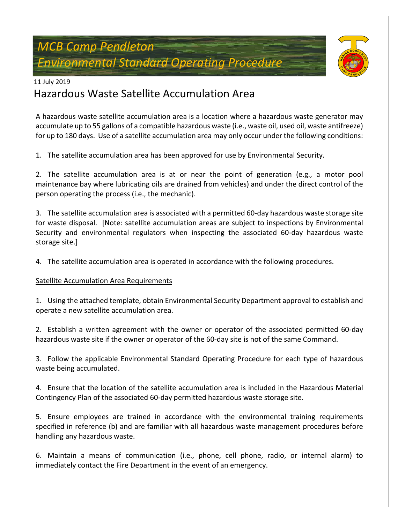# *MCB Camp Pendleton Environmental Standard Operating Procedure*



#### 11 July 2019

## Hazardous Waste Satellite Accumulation Area

A hazardous waste satellite accumulation area is a location where a hazardous waste generator may accumulate up to 55 gallons of a compatible hazardous waste (i.e., waste oil, used oil, waste antifreeze) for up to 180 days. Use of a satellite accumulation area may only occur under the following conditions:

1. The satellite accumulation area has been approved for use by Environmental Security.

2. The satellite accumulation area is at or near the point of generation (e.g., a motor pool maintenance bay where lubricating oils are drained from vehicles) and under the direct control of the person operating the process (i.e., the mechanic).

3. The satellite accumulation area is associated with a permitted 60-day hazardous waste storage site for waste disposal. [Note: satellite accumulation areas are subject to inspections by Environmental Security and environmental regulators when inspecting the associated 60-day hazardous waste storage site.]

4. The satellite accumulation area is operated in accordance with the following procedures.

#### Satellite Accumulation Area Requirements

1. Using the attached template, obtain Environmental Security Department approval to establish and operate a new satellite accumulation area.

2. Establish a written agreement with the owner or operator of the associated permitted 60-day hazardous waste site if the owner or operator of the 60-day site is not of the same Command.

3. Follow the applicable Environmental Standard Operating Procedure for each type of hazardous waste being accumulated.

4. Ensure that the location of the satellite accumulation area is included in the Hazardous Material Contingency Plan of the associated 60-day permitted hazardous waste storage site.

5. Ensure employees are trained in accordance with the environmental training requirements specified in reference (b) and are familiar with all hazardous waste management procedures before handling any hazardous waste.

6. Maintain a means of communication (i.e., phone, cell phone, radio, or internal alarm) to immediately contact the Fire Department in the event of an emergency.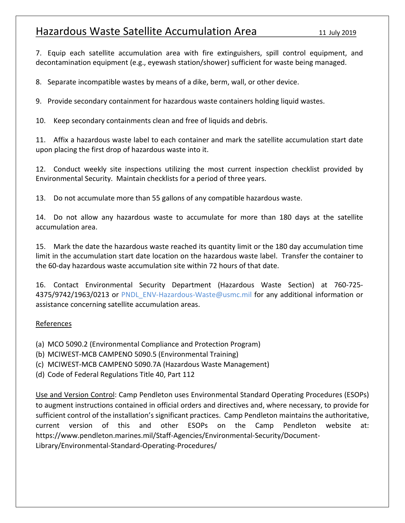### Hazardous Waste Satellite Accumulation Area 11 July 2019

7. Equip each satellite accumulation area with fire extinguishers, spill control equipment, and decontamination equipment (e.g., eyewash station/shower) sufficient for waste being managed.

8. Separate incompatible wastes by means of a dike, berm, wall, or other device.

9. Provide secondary containment for hazardous waste containers holding liquid wastes.

10. Keep secondary containments clean and free of liquids and debris.

11. Affix a hazardous waste label to each container and mark the satellite accumulation start date upon placing the first drop of hazardous waste into it.

12. Conduct weekly site inspections utilizing the most current inspection checklist provided by Environmental Security. Maintain checklists for a period of three years.

13. Do not accumulate more than 55 gallons of any compatible hazardous waste.

14. Do not allow any hazardous waste to accumulate for more than 180 days at the satellite accumulation area.

15. Mark the date the hazardous waste reached its quantity limit or the 180 day accumulation time limit in the accumulation start date location on the hazardous waste label. Transfer the container to the 60-day hazardous waste accumulation site within 72 hours of that date.

16. Contact Environmental Security Department (Hazardous Waste Section) at 760-725- 4375/9742/1963/0213 or PNDL\_ENV-Hazardous-Waste@usmc.mil for any additional information or assistance concerning satellite accumulation areas.

#### References

- (a) MCO 5090.2 (Environmental Compliance and Protection Program)
- (b) MCIWEST-MCB CAMPENO 5090.5 (Environmental Training)
- (c) MCIWEST-MCB CAMPENO 5090.7A (Hazardous Waste Management)
- (d) Code of Federal Regulations Title 40, Part 112

Use and Version Control: Camp Pendleton uses Environmental Standard Operating Procedures (ESOPs) to augment instructions contained in official orders and directives and, where necessary, to provide for sufficient control of the installation's significant practices. Camp Pendleton maintains the authoritative, current version of this and other ESOPs on the Camp Pendleton website at: [https://www.pendleton.marines.mil/Staff-Agencies/Environmental-Security/Document-](https://www.pendleton.marines.mil/Staff-Agencies/Environmental-Security/Document-Library/Environmental-Standard-Operating-Procedures/)[Library/Environmental-Standard-Operating-Procedures/](https://www.pendleton.marines.mil/Staff-Agencies/Environmental-Security/Document-Library/Environmental-Standard-Operating-Procedures/)